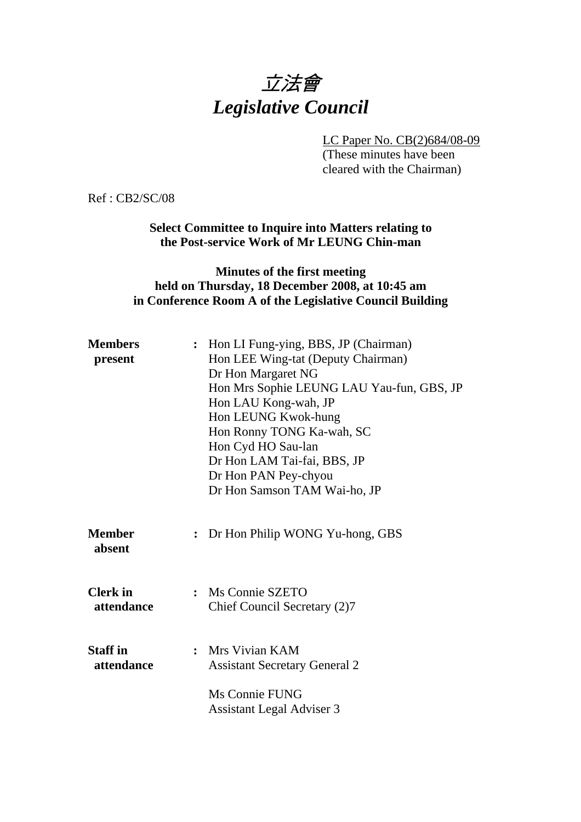# 立法會 *Legislative Council*

LC Paper No. CB(2)684/08-09

(These minutes have been cleared with the Chairman)

Ref : CB2/SC/08

**Select Committee to Inquire into Matters relating to the Post-service Work of Mr LEUNG Chin-man** 

### **Minutes of the first meeting held on Thursday, 18 December 2008, at 10:45 am in Conference Room A of the Legislative Council Building**

| <b>Members</b><br>present     | $\ddot{\cdot}$ | Hon LI Fung-ying, BBS, JP (Chairman)<br>Hon LEE Wing-tat (Deputy Chairman)<br>Dr Hon Margaret NG<br>Hon Mrs Sophie LEUNG LAU Yau-fun, GBS, JP<br>Hon LAU Kong-wah, JP<br>Hon LEUNG Kwok-hung<br>Hon Ronny TONG Ka-wah, SC<br>Hon Cyd HO Sau-lan<br>Dr Hon LAM Tai-fai, BBS, JP<br>Dr Hon PAN Pey-chyou<br>Dr Hon Samson TAM Wai-ho, JP |
|-------------------------------|----------------|----------------------------------------------------------------------------------------------------------------------------------------------------------------------------------------------------------------------------------------------------------------------------------------------------------------------------------------|
| <b>Member</b><br>absent       | $\ddot{\cdot}$ | Dr Hon Philip WONG Yu-hong, GBS                                                                                                                                                                                                                                                                                                        |
| <b>Clerk</b> in<br>attendance | $\ddot{\cdot}$ | Ms Connie SZETO<br>Chief Council Secretary (2)7                                                                                                                                                                                                                                                                                        |
| <b>Staff</b> in<br>attendance |                | : Mrs Vivian KAM<br><b>Assistant Secretary General 2</b><br>Ms Connie FUNG<br><b>Assistant Legal Adviser 3</b>                                                                                                                                                                                                                         |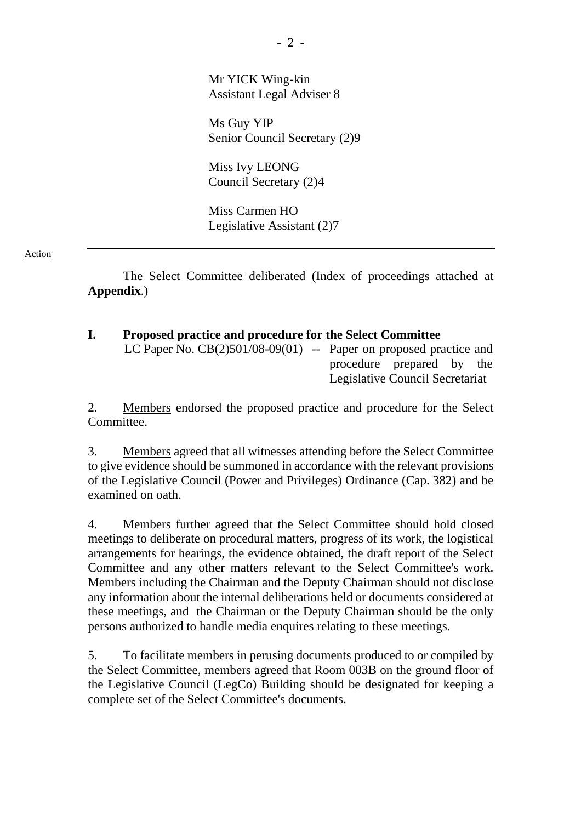Mr YICK Wing-kin Assistant Legal Adviser 8

Ms Guy YIP Senior Council Secretary (2)9

Miss Ivy LEONG Council Secretary (2)4

Miss Carmen HO Legislative Assistant (2)7

#### Action

 The Select Committee deliberated (Index of proceedings attached at **Appendix**.)

| <b>Proposed practice and procedure for the Select Committee</b>     |                                 |  |  |  |  |  |  |
|---------------------------------------------------------------------|---------------------------------|--|--|--|--|--|--|
| LC Paper No. $CB(2)501/08-09(01)$ -- Paper on proposed practice and |                                 |  |  |  |  |  |  |
|                                                                     | procedure prepared by the       |  |  |  |  |  |  |
|                                                                     | Legislative Council Secretariat |  |  |  |  |  |  |

2. Members endorsed the proposed practice and procedure for the Select Committee.

3. Members agreed that all witnesses attending before the Select Committee to give evidence should be summoned in accordance with the relevant provisions of the Legislative Council (Power and Privileges) Ordinance (Cap. 382) and be examined on oath.

4. Members further agreed that the Select Committee should hold closed meetings to deliberate on procedural matters, progress of its work, the logistical arrangements for hearings, the evidence obtained, the draft report of the Select Committee and any other matters relevant to the Select Committee's work. Members including the Chairman and the Deputy Chairman should not disclose any information about the internal deliberations held or documents considered at these meetings, and the Chairman or the Deputy Chairman should be the only persons authorized to handle media enquires relating to these meetings.

5. To facilitate members in perusing documents produced to or compiled by the Select Committee, members agreed that Room 003B on the ground floor of the Legislative Council (LegCo) Building should be designated for keeping a complete set of the Select Committee's documents.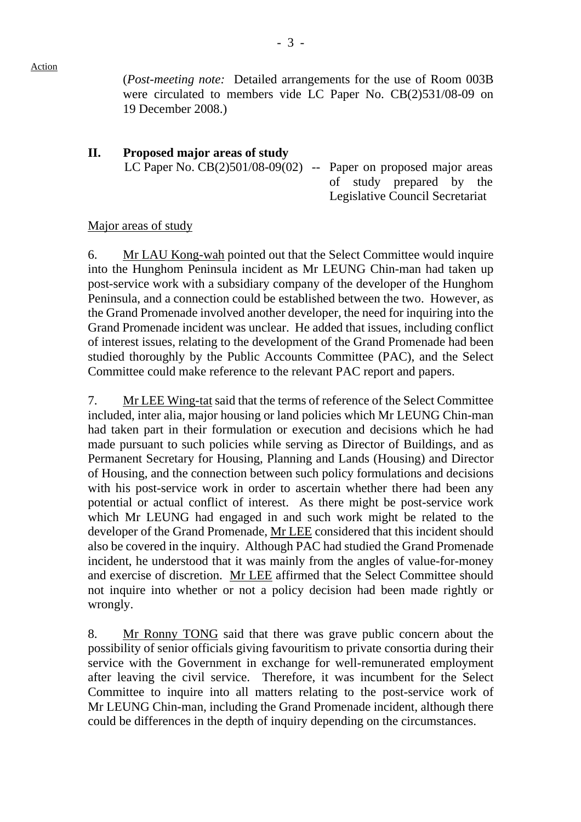(*Post-meeting note:* Detailed arrangements for the use of Room 003B were circulated to members vide LC Paper No. CB(2)531/08-09 on 19 December 2008.)

# **II. Proposed major areas of study**  LC Paper No.  $CB(2)501/08-09(02)$  -- Paper on proposed major areas of study prepared by the Legislative Council Secretariat

#### Major areas of study

6. Mr LAU Kong-wah pointed out that the Select Committee would inquire into the Hunghom Peninsula incident as Mr LEUNG Chin-man had taken up post-service work with a subsidiary company of the developer of the Hunghom Peninsula, and a connection could be established between the two. However, as the Grand Promenade involved another developer, the need for inquiring into the Grand Promenade incident was unclear. He added that issues, including conflict of interest issues, relating to the development of the Grand Promenade had been studied thoroughly by the Public Accounts Committee (PAC), and the Select Committee could make reference to the relevant PAC report and papers.

7. Mr LEE Wing-tat said that the terms of reference of the Select Committee included, inter alia, major housing or land policies which Mr LEUNG Chin-man had taken part in their formulation or execution and decisions which he had made pursuant to such policies while serving as Director of Buildings, and as Permanent Secretary for Housing, Planning and Lands (Housing) and Director of Housing, and the connection between such policy formulations and decisions with his post-service work in order to ascertain whether there had been any potential or actual conflict of interest. As there might be post-service work which Mr LEUNG had engaged in and such work might be related to the developer of the Grand Promenade, Mr LEE considered that this incident should also be covered in the inquiry. Although PAC had studied the Grand Promenade incident, he understood that it was mainly from the angles of value-for-money and exercise of discretion. Mr LEE affirmed that the Select Committee should not inquire into whether or not a policy decision had been made rightly or wrongly.

8. Mr Ronny TONG said that there was grave public concern about the possibility of senior officials giving favouritism to private consortia during their service with the Government in exchange for well-remunerated employment after leaving the civil service. Therefore, it was incumbent for the Select Committee to inquire into all matters relating to the post-service work of Mr LEUNG Chin-man, including the Grand Promenade incident, although there could be differences in the depth of inquiry depending on the circumstances.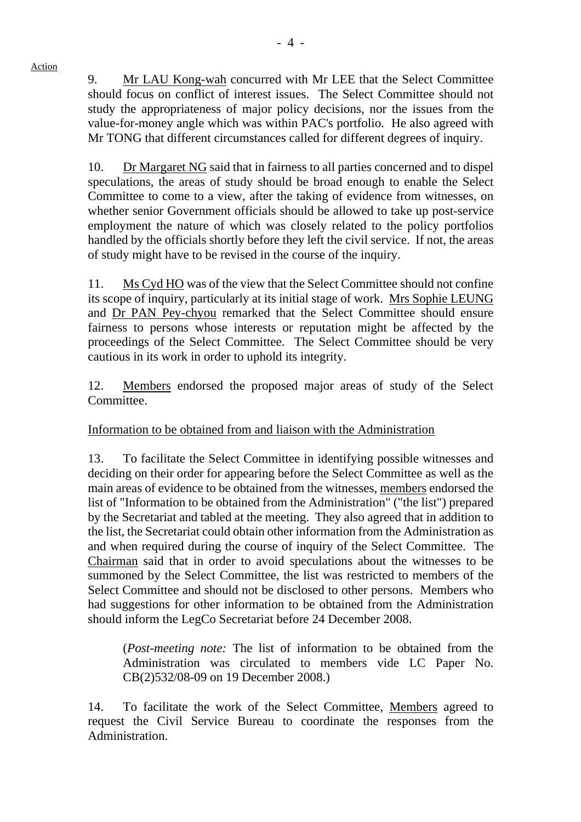9. Mr LAU Kong-wah concurred with Mr LEE that the Select Committee should focus on conflict of interest issues. The Select Committee should not study the appropriateness of major policy decisions, nor the issues from the value-for-money angle which was within PAC's portfolio. He also agreed with Mr TONG that different circumstances called for different degrees of inquiry.

10. Dr Margaret NG said that in fairness to all parties concerned and to dispel speculations, the areas of study should be broad enough to enable the Select Committee to come to a view, after the taking of evidence from witnesses, on whether senior Government officials should be allowed to take up post-service employment the nature of which was closely related to the policy portfolios handled by the officials shortly before they left the civil service. If not, the areas of study might have to be revised in the course of the inquiry.

11. Ms Cyd HO was of the view that the Select Committee should not confine its scope of inquiry, particularly at its initial stage of work. Mrs Sophie LEUNG and Dr PAN Pey-chyou remarked that the Select Committee should ensure fairness to persons whose interests or reputation might be affected by the proceedings of the Select Committee. The Select Committee should be very cautious in its work in order to uphold its integrity.

12. Members endorsed the proposed major areas of study of the Select Committee.

Information to be obtained from and liaison with the Administration

13. To facilitate the Select Committee in identifying possible witnesses and deciding on their order for appearing before the Select Committee as well as the main areas of evidence to be obtained from the witnesses, members endorsed the list of "Information to be obtained from the Administration" ("the list") prepared by the Secretariat and tabled at the meeting. They also agreed that in addition to the list, the Secretariat could obtain other information from the Administration as and when required during the course of inquiry of the Select Committee. The Chairman said that in order to avoid speculations about the witnesses to be summoned by the Select Committee, the list was restricted to members of the Select Committee and should not be disclosed to other persons. Members who had suggestions for other information to be obtained from the Administration should inform the LegCo Secretariat before 24 December 2008.

 (*Post-meeting note:* The list of information to be obtained from the Administration was circulated to members vide LC Paper No. CB(2)532/08-09 on 19 December 2008.)

14. To facilitate the work of the Select Committee, Members agreed to request the Civil Service Bureau to coordinate the responses from the Administration.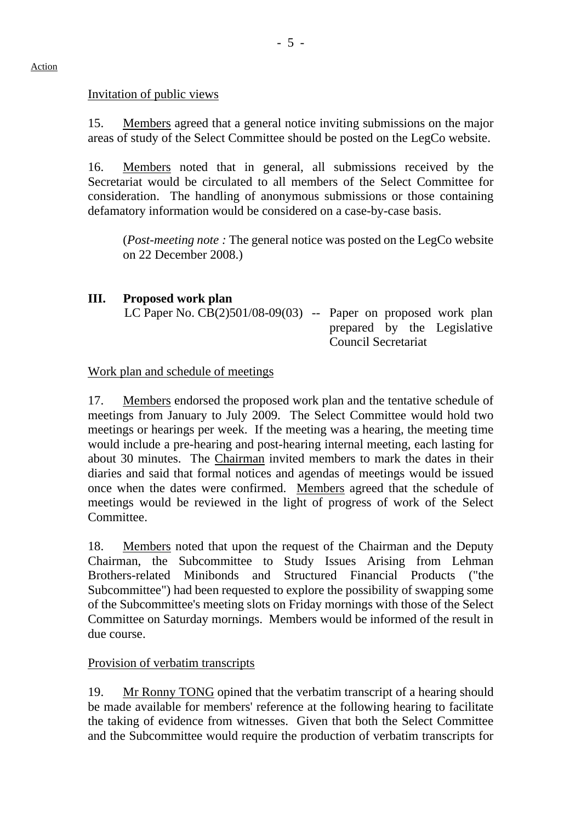#### Invitation of public views

15. Members agreed that a general notice inviting submissions on the major areas of study of the Select Committee should be posted on the LegCo website.

16. Members noted that in general, all submissions received by the Secretariat would be circulated to all members of the Select Committee for consideration. The handling of anonymous submissions or those containing defamatory information would be considered on a case-by-case basis.

 (*Post-meeting note :* The general notice was posted on the LegCo website on 22 December 2008.)

## **III. Proposed work plan**

LC Paper No.  $CB(2)501/08-09(03)$  -- Paper on proposed work plan prepared by the Legislative Council Secretariat

### Work plan and schedule of meetings

17. Members endorsed the proposed work plan and the tentative schedule of meetings from January to July 2009. The Select Committee would hold two meetings or hearings per week. If the meeting was a hearing, the meeting time would include a pre-hearing and post-hearing internal meeting, each lasting for about 30 minutes. The Chairman invited members to mark the dates in their diaries and said that formal notices and agendas of meetings would be issued once when the dates were confirmed. Members agreed that the schedule of meetings would be reviewed in the light of progress of work of the Select Committee.

18. Members noted that upon the request of the Chairman and the Deputy Chairman, the Subcommittee to Study Issues Arising from Lehman Brothers-related Minibonds and Structured Financial Products ("the Subcommittee") had been requested to explore the possibility of swapping some of the Subcommittee's meeting slots on Friday mornings with those of the Select Committee on Saturday mornings. Members would be informed of the result in due course.

### Provision of verbatim transcripts

19. Mr Ronny TONG opined that the verbatim transcript of a hearing should be made available for members' reference at the following hearing to facilitate the taking of evidence from witnesses. Given that both the Select Committee and the Subcommittee would require the production of verbatim transcripts for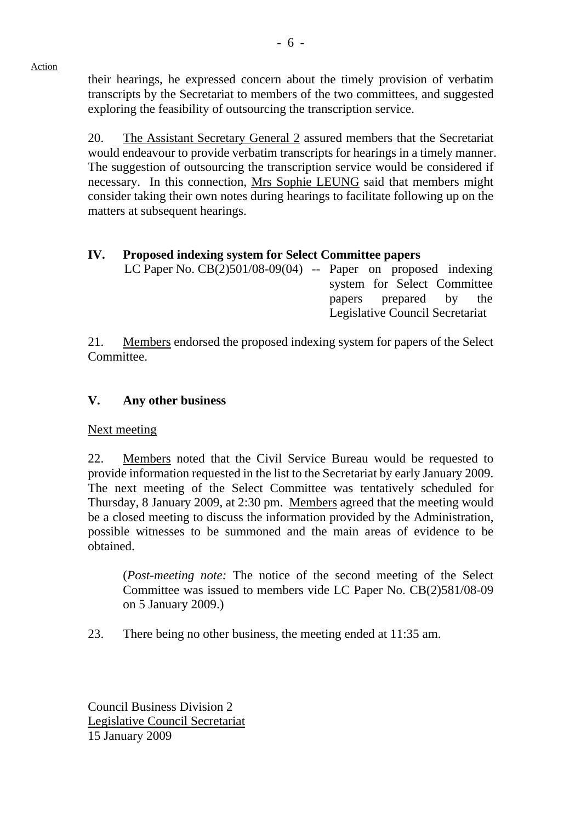Action

their hearings, he expressed concern about the timely provision of verbatim transcripts by the Secretariat to members of the two committees, and suggested exploring the feasibility of outsourcing the transcription service.

20. The Assistant Secretary General 2 assured members that the Secretariat would endeavour to provide verbatim transcripts for hearings in a timely manner. The suggestion of outsourcing the transcription service would be considered if necessary. In this connection, Mrs Sophie LEUNG said that members might consider taking their own notes during hearings to facilitate following up on the matters at subsequent hearings.

# **IV. Proposed indexing system for Select Committee papers**

LC Paper No.  $CB(2)501/08-09(04)$  -- Paper on proposed indexing system for Select Committee papers prepared by the Legislative Council Secretariat

21. Members endorsed the proposed indexing system for papers of the Select Committee.

### **V. Any other business**

Next meeting

22. Members noted that the Civil Service Bureau would be requested to provide information requested in the list to the Secretariat by early January 2009. The next meeting of the Select Committee was tentatively scheduled for Thursday, 8 January 2009, at 2:30 pm. Members agreed that the meeting would be a closed meeting to discuss the information provided by the Administration, possible witnesses to be summoned and the main areas of evidence to be obtained.

 (*Post-meeting note:* The notice of the second meeting of the Select Committee was issued to members vide LC Paper No. CB(2)581/08-09 on 5 January 2009.)

23. There being no other business, the meeting ended at 11:35 am.

Council Business Division 2 Legislative Council Secretariat 15 January 2009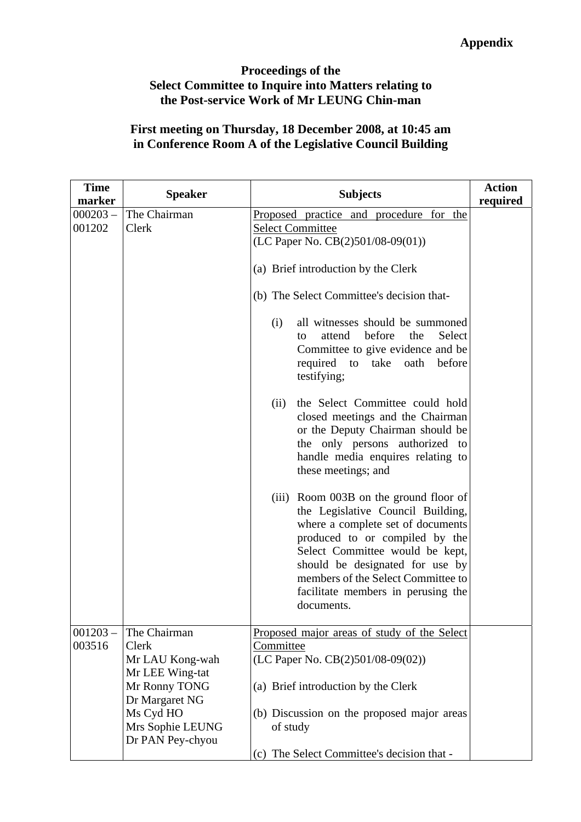### **Proceedings of the Select Committee to Inquire into Matters relating to the Post-service Work of Mr LEUNG Chin-man**

# **First meeting on Thursday, 18 December 2008, at 10:45 am in Conference Room A of the Legislative Council Building**

| <b>Time</b><br>marker | <b>Speaker</b>                                                                       | <b>Subjects</b>                                                                                                                                                                                                                                                                                                       | <b>Action</b><br>required |
|-----------------------|--------------------------------------------------------------------------------------|-----------------------------------------------------------------------------------------------------------------------------------------------------------------------------------------------------------------------------------------------------------------------------------------------------------------------|---------------------------|
| $000203 -$<br>001202  | The Chairman<br>Clerk                                                                | Proposed practice and procedure for the<br><b>Select Committee</b><br>(LC Paper No. $CB(2)501/08-09(01)$ )                                                                                                                                                                                                            |                           |
|                       |                                                                                      | (a) Brief introduction by the Clerk                                                                                                                                                                                                                                                                                   |                           |
|                       |                                                                                      | (b) The Select Committee's decision that-                                                                                                                                                                                                                                                                             |                           |
|                       |                                                                                      | all witnesses should be summoned<br>(i)<br>attend<br>before<br>the<br>Select<br>to<br>Committee to give evidence and be<br>required<br>take<br>oath<br>before<br>to<br>testifying;                                                                                                                                    |                           |
|                       |                                                                                      | the Select Committee could hold<br>(ii)<br>closed meetings and the Chairman<br>or the Deputy Chairman should be<br>the only persons authorized to<br>handle media enquires relating to<br>these meetings; and                                                                                                         |                           |
|                       |                                                                                      | Room 003B on the ground floor of<br>(iii)<br>the Legislative Council Building,<br>where a complete set of documents<br>produced to or compiled by the<br>Select Committee would be kept,<br>should be designated for use by<br>members of the Select Committee to<br>facilitate members in perusing the<br>documents. |                           |
| $001203 -$<br>003516  | The Chairman<br>Clerk<br>Mr LAU Kong-wah<br>Mr LEE Wing-tat                          | Proposed major areas of study of the Select<br>Committee<br>(LC Paper No. CB(2)501/08-09(02))                                                                                                                                                                                                                         |                           |
|                       | Mr Ronny TONG<br>Dr Margaret NG<br>Ms Cyd HO<br>Mrs Sophie LEUNG<br>Dr PAN Pey-chyou | (a) Brief introduction by the Clerk<br>(b) Discussion on the proposed major areas<br>of study                                                                                                                                                                                                                         |                           |
|                       |                                                                                      | (c) The Select Committee's decision that -                                                                                                                                                                                                                                                                            |                           |